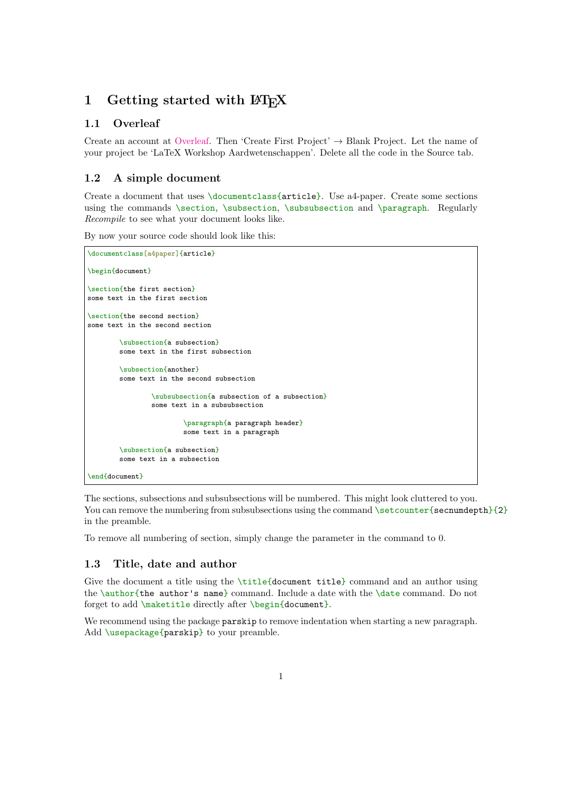### 1 Getting started with  $\text{BTr } X$

#### 1.1 Overleaf

Create an account at [Overleaf.](https://www.overleaf.com) Then 'Create First Project'  $\rightarrow$  Blank Project. Let the name of your project be 'LaTeX Workshop Aardwetenschappen'. Delete all the code in the Source tab.

#### 1.2 A simple document

Create a document that uses \documentclass{article}. Use a4-paper. Create some sections using the commands \section, \subsection, \subsubsection and \paragraph. Regularly Recompile to see what your document looks like.

By now your source code should look like this:

```
\documentclass[a4paper]{article}
\begin{document}
\section{the first section}
some text in the first section
\section{the second section}
some text in the second section
        \subsection{a subsection}
        some text in the first subsection
        \subsection{another}
        some text in the second subsection
                \subsubsection{a subsection of a subsection}
                some text in a subsubsection
                        \paragraph{a paragraph header}
                        some text in a paragraph
        \subsection{a subsection}
        some text in a subsection
\end{document}
```
The sections, subsections and subsubsections will be numbered. This might look cluttered to you. You can remove the numbering from subsubsections using the command  $\setminus$ setcounter{secnumdepth}{2} in the preamble.

To remove all numbering of section, simply change the parameter in the command to 0.

#### 1.3 Title, date and author

Give the document a title using the \title{document title} command and an author using the \author{the author's name} command. Include a date with the \date command. Do not forget to add \maketitle directly after \begin{document}.

We recommend using the package **parskip** to remove indentation when starting a new paragraph. Add \usepackage{parskip} to your preamble.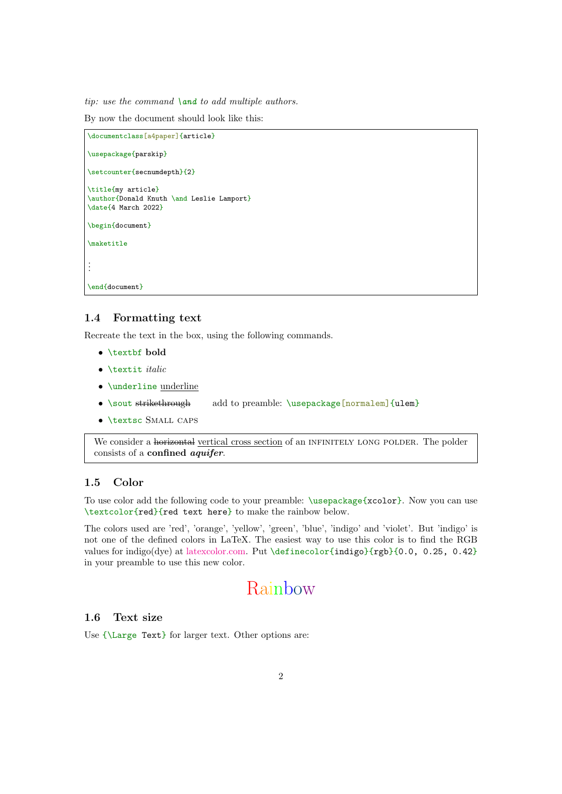tip: use the command  $\land$  and to add multiple authors.

By now the document should look like this:

```
\documentclass[a4paper]{article}
\usepackage{parskip}
\setcounter{secnumdepth}{2}
\title{my article}
\author{Donald Knuth \and Leslie Lamport}
\date{4 March 2022}
\begin{document}
\maketitle
.
.
.
\end{document}
```
#### 1.4 Formatting text

Recreate the text in the box, using the following commands.

- \textbf bold
- $\bullet$  \textit *italic*
- \underline underline
- \sout strikethrough add to preamble: \usepackage[normalem]{ulem}
- \textsc Small caps

We consider a horizontal vertical cross section of an INFINITELY LONG POLDER. The polder consists of a confined aquifer.

#### 1.5 Color

To use color add the following code to your preamble: \usepackage{xcolor}. Now you can use \textcolor{red}{red text here} to make the rainbow below.

The colors used are 'red', 'orange', 'yellow', 'green', 'blue', 'indigo' and 'violet'. But 'indigo' is not one of the defined colors in LaTeX. The easiest way to use this color is to find the RGB values for indigo(dye) at [latexcolor.com.](https://www.latexcolor.com) Put \definecolor{indigo}{rgb}{0.0, 0.25, 0.42} in your preamble to use this new color.

# Rainbow

#### 1.6 Text size

Use {\Large Text} for larger text. Other options are: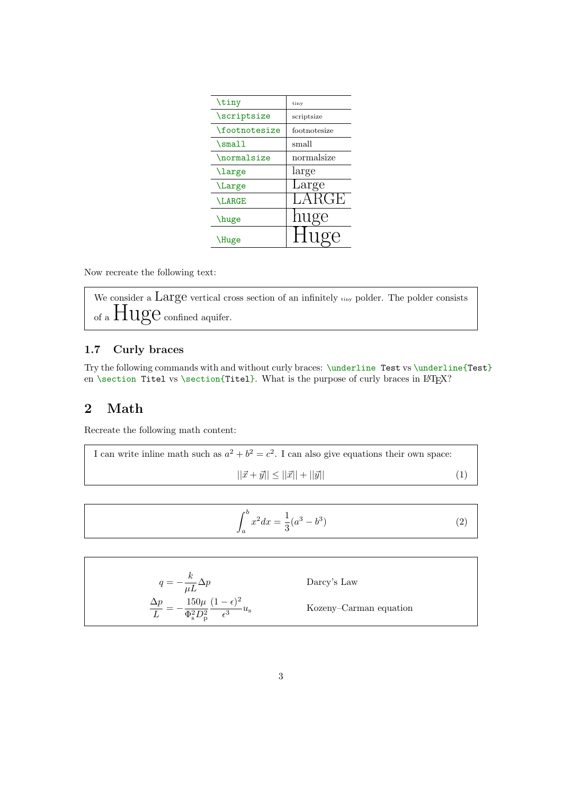| tiny         |
|--------------|
| scriptsize   |
| footnotesize |
| small        |
| normalsize   |
| large        |
| Large        |
| LARGE        |
| huge         |
| Hug<br>Э     |
|              |

Now recreate the following text:

We consider a Large vertical cross section of an infinitely tiny polder. The polder consists of a  $Huge$  confined aquifer.

### 1.7 Curly braces

Try the following commands with and without curly braces: \underline Test vs \underline{Test} en \section Titel vs \section{Titel}. What is the purpose of curly braces in  $L^2[X]$ ?

## 2 Math

Recreate the following math content:

I can write inline math such as 
$$
a^2 + b^2 = c^2
$$
. I can also give equations their own space:  

$$
||\vec{x} + \vec{y}|| \le ||\vec{x}|| + ||\vec{y}||
$$
(1)

<span id="page-2-0"></span>
$$
\int_{a}^{b} x^{2} dx = \frac{1}{3} (a^{3} - b^{3})
$$
\n(2)

$$
q = -\frac{k}{\mu L} \Delta p
$$
 Darcy's Law  

$$
\frac{\Delta p}{L} = -\frac{150\mu}{\Phi_{\rm s}^2 D_{\rm p}^2} \frac{(1 - \epsilon)^2}{\epsilon^3} u_{\rm s}
$$
 Kozeny-Carman equation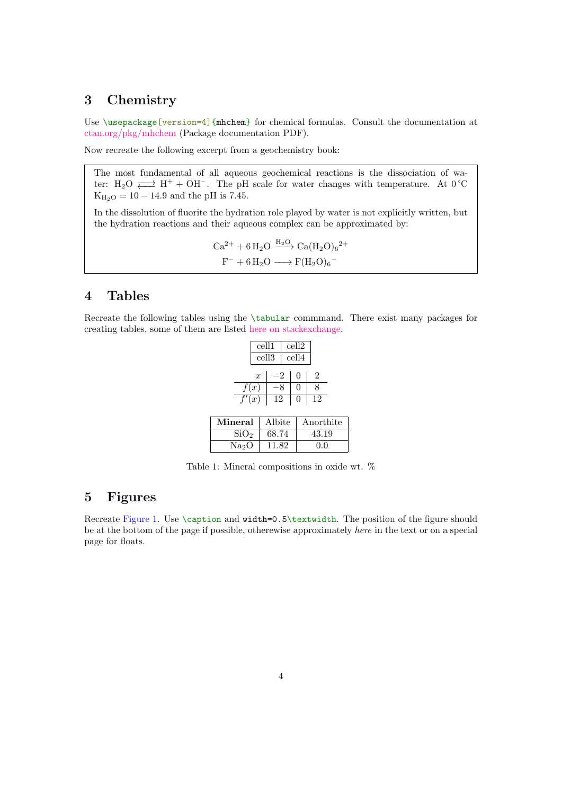# 3 Chemistry

Use \usepackage[version=4]{mhchem} for chemical formulas. Consult the documentation at [ctan.org/pkg/mhchem](https://ctan.org/pkg/mhchem) (Package documentation PDF).

Now recreate the following excerpt from a geochemistry book:

The most fundamental of all aqueous geochemical reactions is the dissociation of water: H<sub>2</sub>O  $\rightleftarrows$  H<sup>+</sup> + OH<sup>-</sup>. The pH scale for water changes with temperature. At 0 °C  $K_{H_2O} = 10 - 14.9$  and the pH is 7.45.

In the dissolution of fluorite the hydration role played by water is not explicitly written, but the hydration reactions and their aqueous complex can be approximated by:

$$
Ca^{2+} + 6 H_2O \xrightarrow{H_2O} Ca(H_2O)_6{}^{2+}
$$
  

$$
F^- + 6 H_2O \longrightarrow F(H_2O)_6{}^{-}
$$

### 4 Tables

Recreate the following tables using the \tabular commmand. There exist many packages for creating tables, some of them are listed [here on stackexchange.](https://tex.stackexchange.com/questions/12672/which-tabular-packages-do-which-tasks-and-which-packages-conflict)

|                    | cell1             |     | cell2        |    |  |
|--------------------|-------------------|-----|--------------|----|--|
|                    | cell <sub>3</sub> |     | cell4        |    |  |
|                    | $\boldsymbol{x}$  | -2  | $\mathbf{0}$ | 2  |  |
|                    | f(x)              |     |              | 8  |  |
| $\overline{f'(x)}$ |                   | -12 | $\mathbf{0}$ | 12 |  |
|                    |                   |     |              |    |  |

<span id="page-3-0"></span>

| Mineral          | Albite | Anorthite |
|------------------|--------|-----------|
| SiO <sub>2</sub> | 68.74  | 43.19     |
| $\rm Na_2O$      | 11.82  | 0.0       |

Table 1: Mineral compositions in oxide wt. %

### 5 Figures

Recreate [Figure 1.](#page-4-0) Use \caption and width=0.5\textwidth. The position of the figure should be at the bottom of the page if possible, otherewise approximately here in the text or on a special page for floats.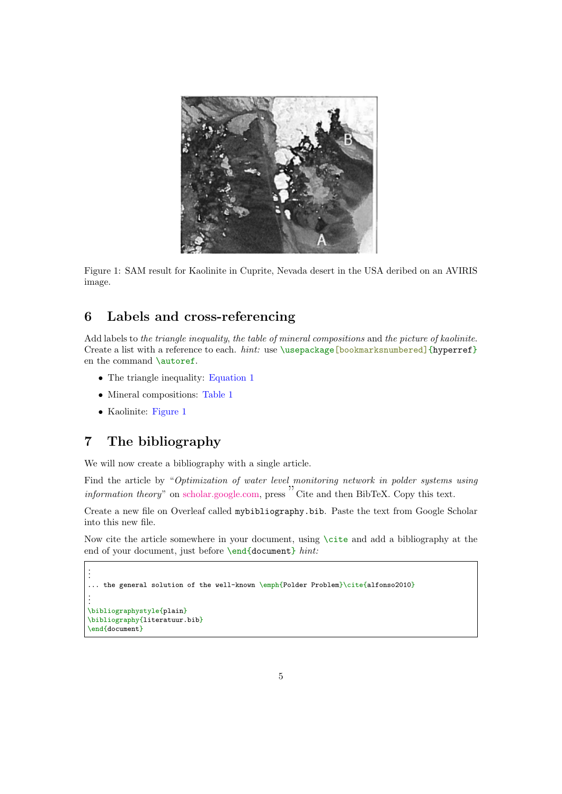<span id="page-4-0"></span>

Figure 1: SAM result for Kaolinite in Cuprite, Nevada desert in the USA deribed on an AVIRIS image.

## 6 Labels and cross-referencing

Add labels to the triangle inequality, the table of mineral compositions and the picture of kaolinite. Create a list with a reference to each.  $hint:$  use  $\usepace{bold}$   $\to$   $\usepace{bold}$   $\{hyperref\}$ en the command **\autoref**.

- The triangle inequality: [Equation 1](#page-2-0)
- Mineral compositions: [Table 1](#page-3-0)
- Kaolinite: [Figure 1](#page-4-0)

# 7 The bibliography

We will now create a bibliography with a single article.

Find the article by "Optimization of water level monitoring network in polder systems using information theory" on [scholar.google.com,](https://scholar.google.com/) press " Cite and then BibTeX. Copy this text.

Create a new file on Overleaf called mybibliography.bib. Paste the text from Google Scholar into this new file.

Now cite the article somewhere in your document, using \cite and add a bibliography at the end of your document, just before \end{document} hint:

```
.
.
.
... the general solution of the well-known \emph{Polder Problem}\cite{alfonso2010}
.
.
.
\bibliographystyle{plain}
\bibliography{literatuur.bib}
\end{document}
```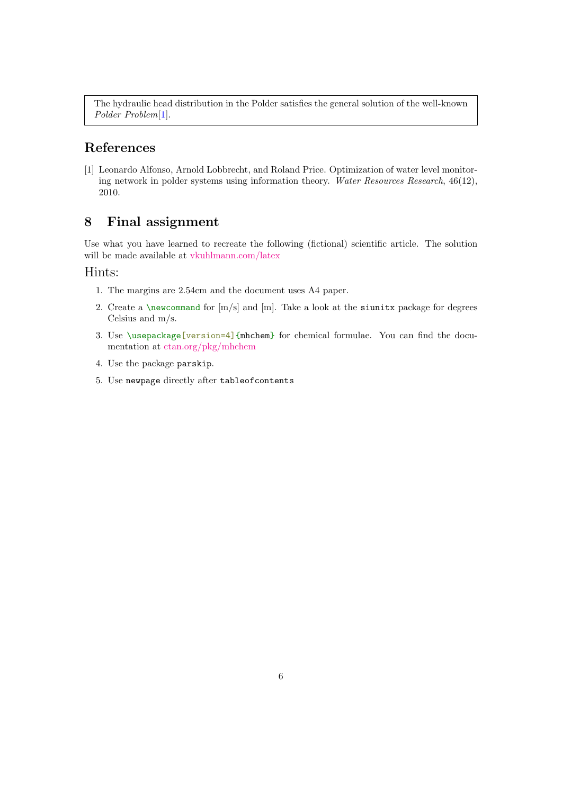The hydraulic head distribution in the Polder satisfies the general solution of the well-known Polder Problem[\[1\]](#page-5-0).

## References

<span id="page-5-0"></span>[1] Leonardo Alfonso, Arnold Lobbrecht, and Roland Price. Optimization of water level monitoring network in polder systems using information theory. Water Resources Research, 46(12), 2010.

## 8 Final assignment

Use what you have learned to recreate the following (fictional) scientific article. The solution will be made available at [vkuhlmann.com/latex](https://www.vkuhlmann.com/latex)

#### Hints:

- 1. The margins are 2.54cm and the document uses A4 paper.
- 2. Create a \newcommand for  $[m/s]$  and  $[m]$ . Take a look at the siunitx package for degrees Celsius and m/s.
- 3. Use \usepackage[version=4]{mhchem} for chemical formulae. You can find the documentation at [ctan.org/pkg/mhchem](https://ctan.org/pkg/mhchem)
- 4. Use the package parskip.
- 5. Use newpage directly after tableofcontents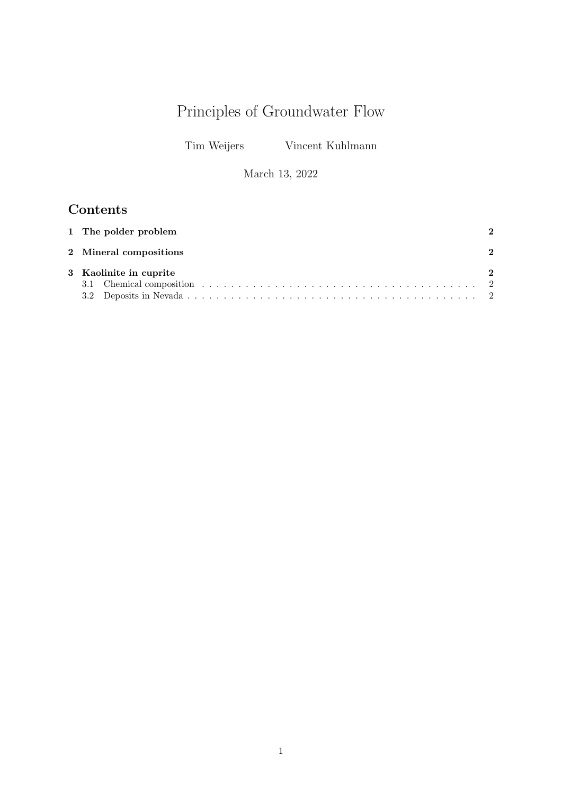# Principles of Groundwater Flow

Tim Weijers Vincent Kuhlmann

March 13, 2022

# Contents

| 1 The polder problem   |   |
|------------------------|---|
| 2 Mineral compositions | 2 |
| 3 Kaolinite in cuprite | 2 |
|                        |   |
|                        |   |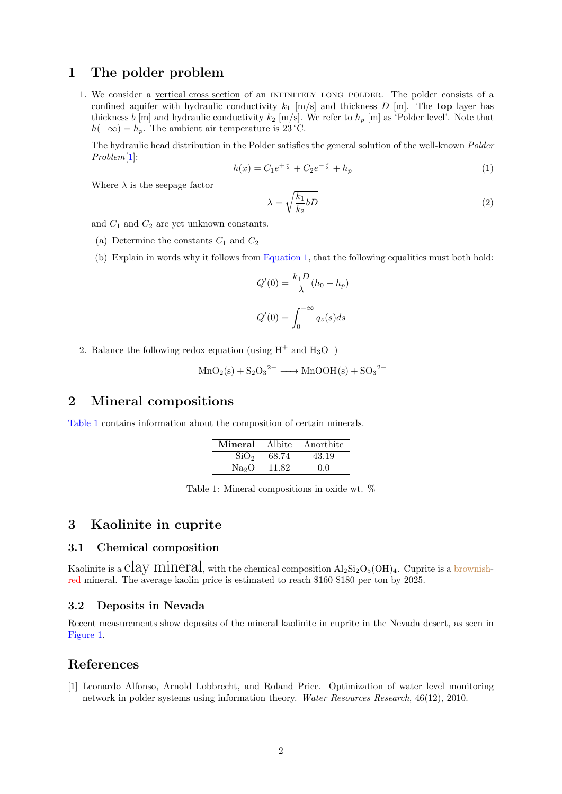### 1 The polder problem

1. We consider a vertical cross section of an infinitely long polder. The polder consists of a confined aquifer with hydraulic conductivity  $k_1$  [m/s] and thickness D [m]. The top layer has thickness b [m] and hydraulic conductivity  $k_2$  [m/s]. We refer to  $h_p$  [m] as 'Polder level'. Note that  $h(+\infty) = h_p$ . The ambient air temperature is 23 °C.

The hydraulic head distribution in the Polder satisfies the general solution of the well-known Polder Problem[1]:

$$
h(x) = C_1 e^{+\frac{x}{\lambda}} + C_2 e^{-\frac{x}{\lambda}} + h_p \tag{1}
$$

Where  $\lambda$  is the seepage factor

$$
\lambda = \sqrt{\frac{k_1}{k_2} bD} \tag{2}
$$

and  $C_1$  and  $C_2$  are yet unknown constants.

- (a) Determine the constants  $C_1$  and  $C_2$
- (b) Explain in words why it follows from Equation 1, that the following equalities must both hold:

$$
Q'(0) = \frac{k_1 D}{\lambda} (h_0 - h_p)
$$

$$
Q'(0) = \int_0^{+\infty} q_z(s) ds
$$

2. Balance the following redox equation (using  $H^+$  and  $H_3O^-$ )

$$
MnO2(s) + S2O32- \longrightarrow MnOOH(s) + SO32-
$$

### 2 Mineral compositions

Table 1 contains information about the composition of certain minerals.

| Mineral           | Albite | Anorthite |
|-------------------|--------|-----------|
| SiO <sub>2</sub>  | 68.74  | 43.19     |
| Na <sub>2</sub> O | 11.82  | 0.0       |

Table 1: Mineral compositions in oxide wt. %

### 3 Kaolinite in cuprite

#### 3.1 Chemical composition

Kaolinite is a Clay Mineral, with the chemical composition  $Al_2Si_2O_5(OH)_4$ . Cuprite is a brownishred mineral. The average kaolin price is estimated to reach \$160 \$180 per ton by 2025.

#### 3.2 Deposits in Nevada

Recent measurements show deposits of the mineral kaolinite in cuprite in the Nevada desert, as seen in Figure 1.

#### References

[1] Leonardo Alfonso, Arnold Lobbrecht, and Roland Price. Optimization of water level monitoring network in polder systems using information theory. Water Resources Research, 46(12), 2010.